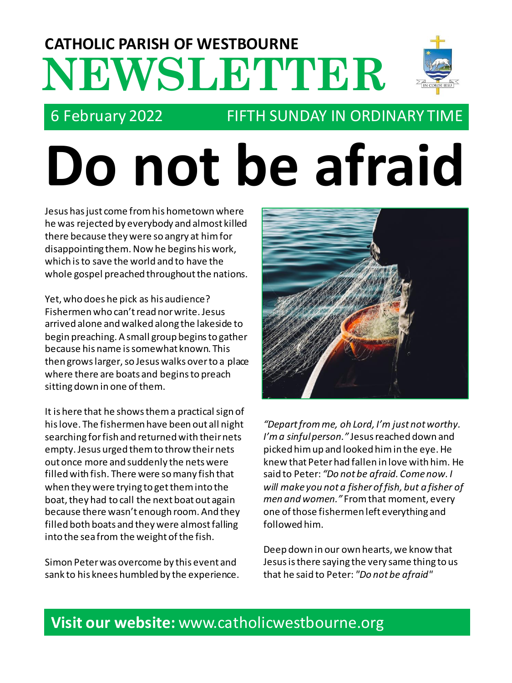## **NEWSLETTER CATHOLIC PARISH OF WESTBOURNE**



## 6 February 2022 FIFTH SUNDAY IN ORDINARY TIME

# **Do not be afraid**

Jesus has just come from his hometown where he was rejected by everybody and almost killed there because they were so angry at him for disappointing them. Now he begins his work, which isto save the world and to have the whole gospel preached throughout the nations.

Yet, who does he pick as his audience? Fishermen who can't read nor write. Jesus arrived alone and walked along the lakeside to begin preaching. A small group begins to gather because his name is somewhat known. This then grows larger, so Jesus walks over to a place where there are boats and begins to preach sitting down in one of them.

It is here that he shows them a practical sign of his love. The fishermen have been out all night searching for fish and returned with their nets empty. Jesus urged them to throw their nets out once more and suddenly the nets were filled with fish. There were so many fish that when they were trying to get them into the boat, they had to call the next boat out again because there wasn't enough room. And they filled both boats and they were almost falling into the sea from the weight of the fish.

Simon Peter was overcome by this event and sank to his knees humbled by the experience.



*"Depart from me, oh Lord, I'm just not worthy. I'm a sinful person."* Jesus reached down and picked him up and looked him in the eye. He knew that Peter had fallen in love with him. He said to Peter: *"Do not be afraid. Come now. I will make you not a fisher of fish, but a fisher of men and women."* From that moment, every one of those fishermen left everything and followed him.

Deep down in our own hearts, we know that Jesus is there saying the very same thing to us that he said to Peter: *"Do not be afraid"*

## **Visit our website:** www.catholicwestbourne.org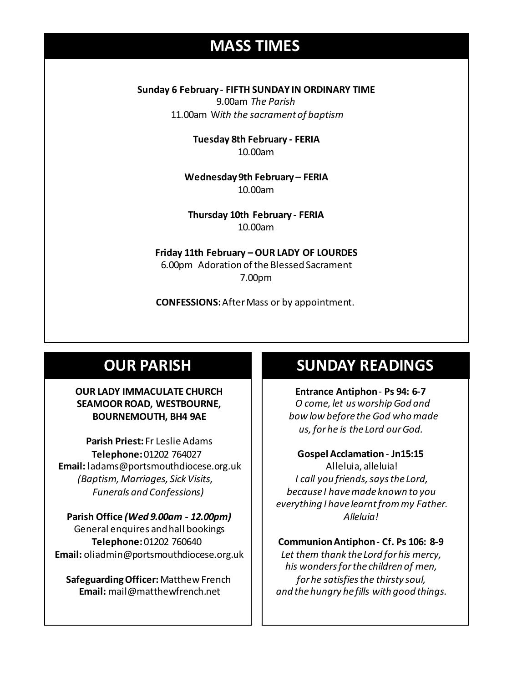## **MASS TIMES**

**Sunday 6 February - FIFTH SUNDAY IN ORDINARY TIME**

9.00am *The Parish* 11.00am W*ith the sacrament of baptism*

> **Tuesday 8th February - FERIA** 10.00am

**11am** *Tim Mc Cann* **Wednesday 14th** *Repose of the souls of Bernard Charles and Elsie May Pratt* **Wednesday 9th February – FERIA** 10.00am

**Saturday 16th** *Rosemarie Schofield RIP* **Thursday 10th February - FERIA** 10.00am

> **Friday 11th February –OUR LADY OF LOURDES** 6.00pm Adoration of the Blessed Sacrament 7.00pm

**CONFESSIONS:**After Mass or by appointment.

## **OUR PARISH**

#### **OUR LADY IMMACULATE CHURCH SEAMOOR ROAD, WESTBOURNE, BOURNEMOUTH, BH4 9AE**

**Parish Priest:** Fr Leslie Adams **Telephone:**01202 764027 **Email:** ladams@portsmouthdiocese.org.uk *(Baptism, Marriages, Sick Visits, Funerals and Confessions)*

**Parish Office** *(Wed 9.00am - 12.00pm)* General enquires andhall bookings **Telephone:**01202 760640 **Email:** oliadmin@portsmouthdiocese.org.uk

**Safeguarding Officer:** Matthew French **Email:** mail@matthewfrench.net

## **SUNDAY READINGS**

**Entrance Antiphon**- **Ps 94: 6-7** *O come, let us worship God and bow low before the God who made us, for he is the Lord our God.*

**Gospel Acclamation** - **Jn15:15** Alleluia, alleluia! *I call you friends, says the Lord, because I have made known to you everything I have learnt from my Father. Alleluia!* 

#### **Communion Antiphon**- **Cf. Ps 106: 8-9**

*Let them thank the Lord for his mercy, his wonders for the children of men, for he satisfies the thirsty soul, and the hungry he fills with good things.*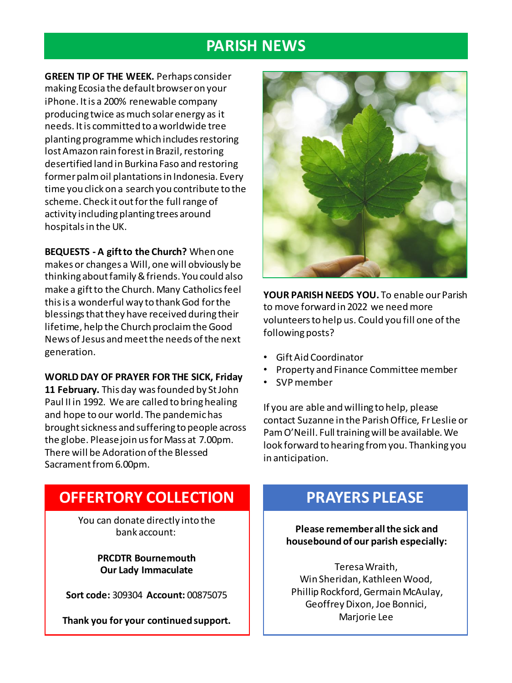## **PARISH NEWS**

**GREEN TIP OF THE WEEK.** Perhaps consider making Ecosia the default browser on your iPhone. It is a 200% renewable company producing twice as much solar energy as it needs. It is committed to a worldwide tree planting programme which includes restoring lost Amazon rain forest in Brazil, restoring desertified land in Burkina Faso and restoring former palm oil plantations in Indonesia. Every time you click on a search you contribute to the scheme. Check it out for the full range of activity including planting trees around hospitals in the UK.

**BEQUESTS - A gift to the Church?** When one makes or changes a Will, one will obviously be thinking about family & friends. You could also make a gift to the Church. Many Catholics feel this is a wonderful way to thank God for the blessings that they have received during their lifetime, help the Church proclaim the Good News of Jesus and meet the needs of the next generation.

#### **WORLD DAY OF PRAYER FOR THE SICK, Friday**

**11 February.** This day was founded by St John Paul II in 1992. We are called to bring healing and hope to our world. The pandemic has brought sickness and suffering to people across the globe. Please join us for Mass at 7.00pm. There will be Adoration of the Blessed Sacrament from 6.00pm.



**YOUR PARISH NEEDS YOU.** To enable our Parish to move forward in 2022 we need more volunteers to help us. Could you fill one of the following posts?

- Gift Aid Coordinator
- Property and Finance Committee member
- SVP member

If you are able and willing to help, please contact Suzanne in the Parish Office, Fr Leslie or Pam O'Neill. Full training will be available. We look forward to hearing from you. Thanking you in anticipation.

## **OFFERTORY COLLECTION**

You can donate directly into the bank account:

> **PRCDTR Bournemouth Our Lady Immaculate**

**Sort code:** 309304 **Account:** 00875075

**Thank you for your continued support.**

## **PRAYERS PLEASE**

**Please remember all the sick and housebound of our parish especially:**

Teresa Wraith, Win Sheridan, Kathleen Wood, Phillip Rockford, Germain McAulay, Geoffrey Dixon, Joe Bonnici, Marjorie Lee